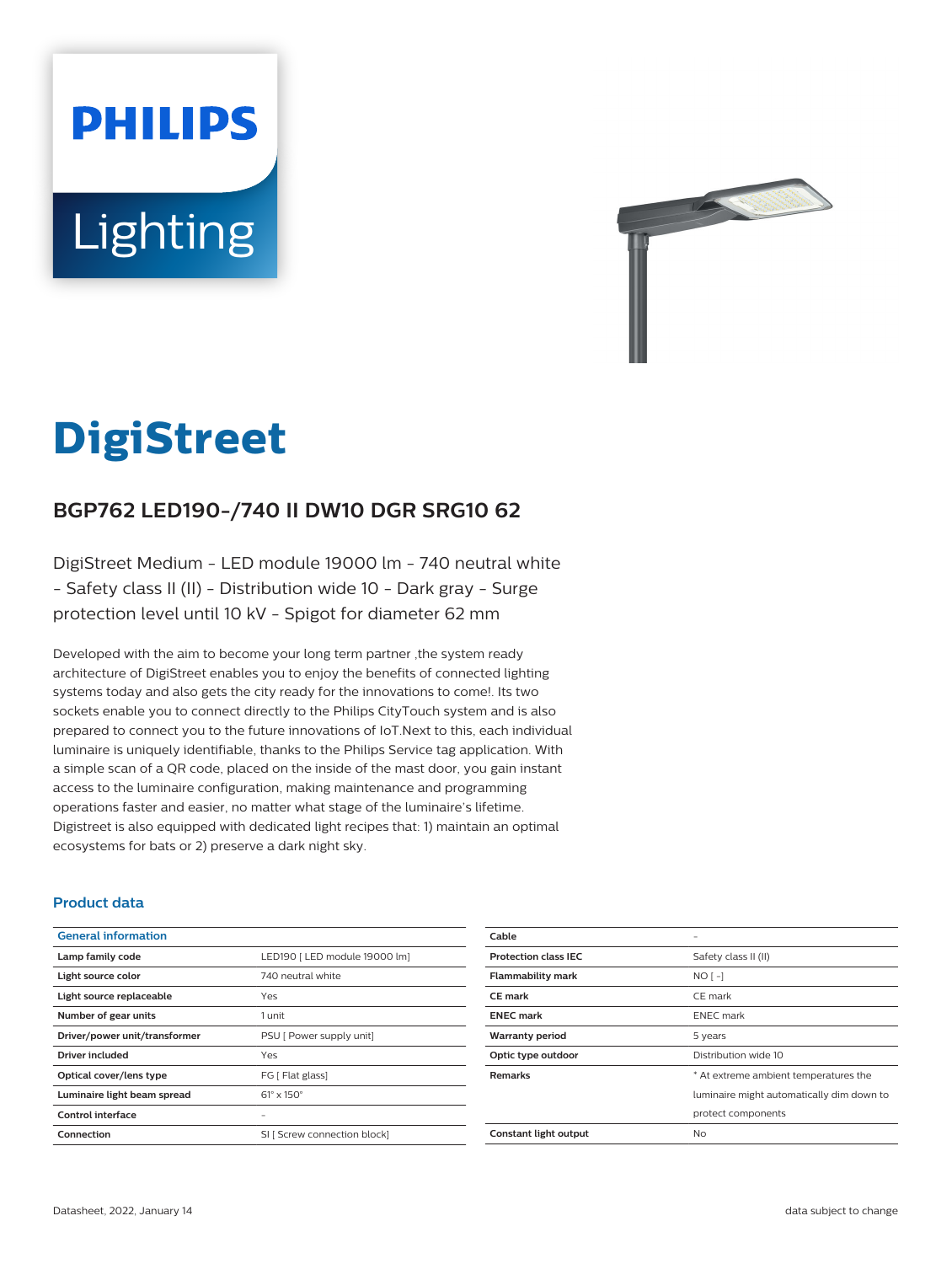# **PHILIPS Lighting**



# **DigiStreet**

# **BGP762 LED190-/740 II DW10 DGR SRG10 62**

DigiStreet Medium - LED module 19000 lm - 740 neutral white - Safety class II (II) - Distribution wide 10 - Dark gray - Surge protection level until 10 kV - Spigot for diameter 62 mm

Developed with the aim to become your long term partner ,the system ready architecture of DigiStreet enables you to enjoy the benefits of connected lighting systems today and also gets the city ready for the innovations to come!. Its two sockets enable you to connect directly to the Philips CityTouch system and is also prepared to connect you to the future innovations of IoT.Next to this, each individual luminaire is uniquely identifiable, thanks to the Philips Service tag application. With a simple scan of a QR code, placed on the inside of the mast door, you gain instant access to the luminaire configuration, making maintenance and programming operations faster and easier, no matter what stage of the luminaire's lifetime. Digistreet is also equipped with dedicated light recipes that: 1) maintain an optimal ecosystems for bats or 2) preserve a dark night sky.

#### **Product data**

| <b>General information</b>    |                               |
|-------------------------------|-------------------------------|
| Lamp family code              | LED190   LED module 19000 lm] |
| Light source color            | 740 neutral white             |
| Light source replaceable      | Yes                           |
| Number of gear units          | 1 unit                        |
| Driver/power unit/transformer | PSU [ Power supply unit]      |
| Driver included               | Yes                           |
| Optical cover/lens type       | FG [ Flat glass]              |
| Luminaire light beam spread   | $61^\circ \times 150^\circ$   |
| Control interface             |                               |
| Connection                    | SI [ Screw connection block]  |

| Cable                       |                                           |
|-----------------------------|-------------------------------------------|
| <b>Protection class IEC</b> | Safety class II (II)                      |
| <b>Flammability mark</b>    | $NO[-]$                                   |
| <b>CE</b> mark              | CE mark                                   |
| <b>ENEC mark</b>            | <b>ENEC</b> mark                          |
| <b>Warranty period</b>      | 5 years                                   |
| Optic type outdoor          | Distribution wide 10                      |
| <b>Remarks</b>              | * At extreme ambient temperatures the     |
|                             | luminaire might automatically dim down to |
|                             | protect components                        |
| Constant light output       | No                                        |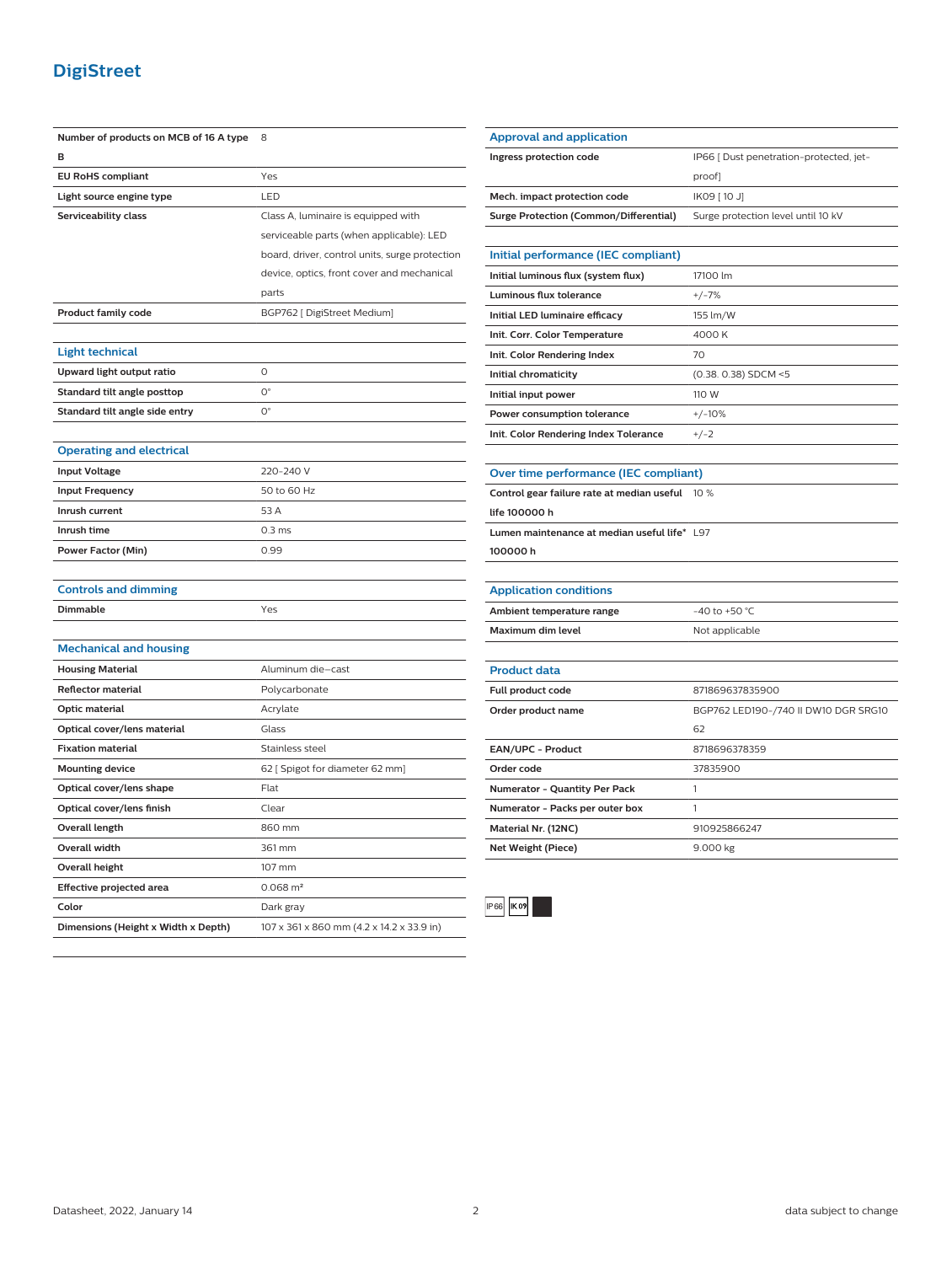## **DigiStreet**

| Number of products on MCB of 16 A type | 8                                              |
|----------------------------------------|------------------------------------------------|
| B                                      |                                                |
| <b>EU RoHS compliant</b>               | Yes                                            |
| Light source engine type               | LED                                            |
| Serviceability class                   | Class A, luminaire is equipped with            |
|                                        | serviceable parts (when applicable): LED       |
|                                        | board, driver, control units, surge protection |
|                                        | device, optics, front cover and mechanical     |
|                                        | parts                                          |
| <b>Product family code</b>             | BGP762 [ DigiStreet Medium]                    |
|                                        |                                                |
| <b>Light technical</b>                 |                                                |
| Upward light output ratio              | $\circ$                                        |
| Standard tilt angle posttop            | $O^{\circ}$                                    |
| Standard tilt angle side entry         | $\mathrm{O}^\circ$                             |
|                                        |                                                |
| <b>Operating and electrical</b>        |                                                |
| <b>Input Voltage</b>                   | 220-240 V                                      |
| <b>Input Frequency</b>                 | 50 to 60 Hz                                    |
| Inrush current                         | 53 A                                           |
| Inrush time                            | 0.3 <sub>ms</sub>                              |
| <b>Power Factor (Min)</b>              | 0.99                                           |
|                                        |                                                |
| <b>Controls and dimming</b>            |                                                |
| Dimmable                               | Yes                                            |
|                                        |                                                |
| <b>Mechanical and housing</b>          |                                                |
| <b>Housing Material</b>                | Aluminum die-cast                              |
| Reflector material                     | Polycarbonate                                  |
| Optic material                         | Acrylate                                       |
| Optical cover/lens material            | Glass                                          |
| <b>Fixation material</b>               | Stainless steel                                |
| <b>Mounting device</b>                 | 62 [ Spigot for diameter 62 mm]                |
| Optical cover/lens shape               | Flat                                           |
| Optical cover/lens finish              | Clear                                          |
| <b>Overall length</b>                  | 860 mm                                         |
| <b>Overall width</b>                   | 361 mm                                         |
| <b>Overall height</b>                  | 107 mm                                         |
| Effective projected area               | $0.068$ m <sup>2</sup>                         |
| Color                                  | Dark gray                                      |
| Dimensions (Height x Width x Depth)    | 107 x 361 x 860 mm (4.2 x 14.2 x 33.9 in)      |

| <b>Approval and application</b>               |                                         |
|-----------------------------------------------|-----------------------------------------|
| Ingress protection code                       | IP66 [ Dust penetration-protected, jet- |
|                                               | proof]                                  |
| Mech. impact protection code                  | IK09 [ 10 J]                            |
| <b>Surge Protection (Common/Differential)</b> | Surge protection level until 10 kV      |
| Initial performance (IEC compliant)           |                                         |
| Initial luminous flux (system flux)           | 17100 lm                                |
| <b>Luminous flux tolerance</b>                | $+/-7%$                                 |
| Initial LED luminaire efficacy                | 155 lm/W                                |
| Init. Corr. Color Temperature                 | 4000 K                                  |
| Init. Color Rendering Index                   | 70                                      |
| Initial chromaticity                          | (0.38. 0.38) SDCM <5                    |
| Initial input power                           | 110 W                                   |
| Power consumption tolerance                   | $+/-10%$                                |
| Init. Color Rendering Index Tolerance         | $+/-2$                                  |
| Lumen maintenance at median useful life* L97  |                                         |
| life 100000 h                                 |                                         |
| 100000h                                       |                                         |
| <b>Application conditions</b>                 |                                         |
| Ambient temperature range                     | -40 to +50 $^{\circ}$ C                 |
| Maximum dim level                             | Not applicable                          |
| <b>Product data</b>                           |                                         |
| Full product code                             | 871869637835900                         |
| Order product name                            | BGP762 LED190-/740 II DW10 DGR SRG10    |
|                                               |                                         |
|                                               | 62                                      |
| EAN/UPC - Product                             | 8718696378359                           |
| Order code                                    | 37835900                                |
| Numerator - Quantity Per Pack                 | 1                                       |
| Numerator - Packs per outer box               | 1                                       |



**Net Weight (Piece)** 9.000 kg